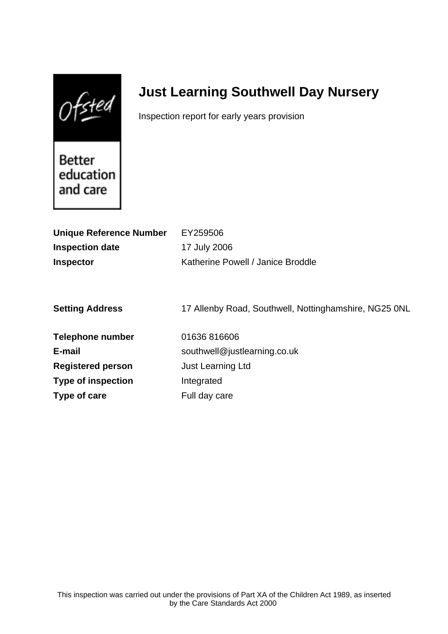$0$ fsted

# **Just Learning Southwell Day Nursery**

Inspection report for early years provision

Better education and care

| <b>Unique Reference Number</b> | EY259506                                              |
|--------------------------------|-------------------------------------------------------|
| <b>Inspection date</b>         | 17 July 2006                                          |
| <b>Inspector</b>               | Katherine Powell / Janice Broddle                     |
|                                |                                                       |
|                                |                                                       |
| <b>Setting Address</b>         | 17 Allenby Road, Southwell, Nottinghamshire, NG25 0NL |
| <b>Telephone number</b>        | 01636816606                                           |
| E-mail                         | southwell@justlearning.co.uk                          |
| <b>Registered person</b>       | <b>Just Learning Ltd</b>                              |
| <b>Type of inspection</b>      | Integrated                                            |
| Type of care                   | Full day care                                         |
|                                |                                                       |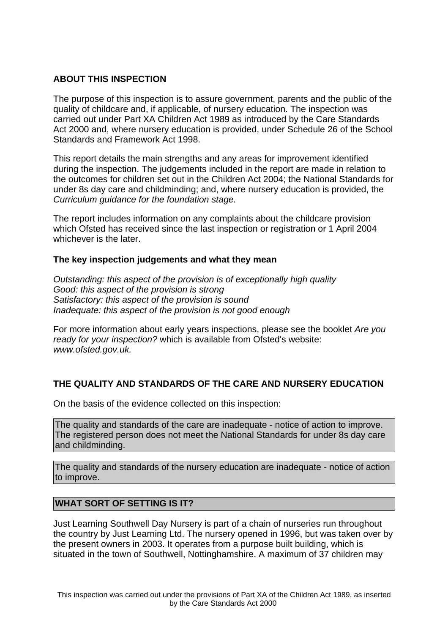# **ABOUT THIS INSPECTION**

The purpose of this inspection is to assure government, parents and the public of the quality of childcare and, if applicable, of nursery education. The inspection was carried out under Part XA Children Act 1989 as introduced by the Care Standards Act 2000 and, where nursery education is provided, under Schedule 26 of the School Standards and Framework Act 1998.

This report details the main strengths and any areas for improvement identified during the inspection. The judgements included in the report are made in relation to the outcomes for children set out in the Children Act 2004; the National Standards for under 8s day care and childminding; and, where nursery education is provided, the Curriculum guidance for the foundation stage.

The report includes information on any complaints about the childcare provision which Ofsted has received since the last inspection or registration or 1 April 2004 whichever is the later.

# **The key inspection judgements and what they mean**

Outstanding: this aspect of the provision is of exceptionally high quality Good: this aspect of the provision is strong Satisfactory: this aspect of the provision is sound Inadequate: this aspect of the provision is not good enough

For more information about early years inspections, please see the booklet Are you ready for your inspection? which is available from Ofsted's website: www.ofsted.gov.uk.

# **THE QUALITY AND STANDARDS OF THE CARE AND NURSERY EDUCATION**

On the basis of the evidence collected on this inspection:

The quality and standards of the care are inadequate - notice of action to improve. The registered person does not meet the National Standards for under 8s day care and childminding.

The quality and standards of the nursery education are inadequate - notice of action to improve.

# **WHAT SORT OF SETTING IS IT?**

Just Learning Southwell Day Nursery is part of a chain of nurseries run throughout the country by Just Learning Ltd. The nursery opened in 1996, but was taken over by the present owners in 2003. It operates from a purpose built building, which is situated in the town of Southwell, Nottinghamshire. A maximum of 37 children may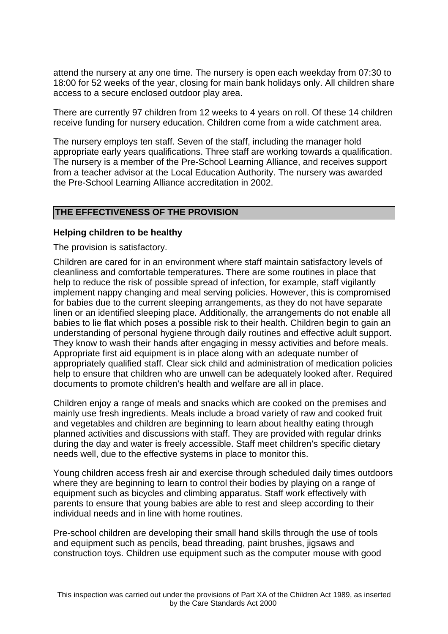attend the nursery at any one time. The nursery is open each weekday from 07:30 to 18:00 for 52 weeks of the year, closing for main bank holidays only. All children share access to a secure enclosed outdoor play area.

There are currently 97 children from 12 weeks to 4 years on roll. Of these 14 children receive funding for nursery education. Children come from a wide catchment area.

The nursery employs ten staff. Seven of the staff, including the manager hold appropriate early years qualifications. Three staff are working towards a qualification. The nursery is a member of the Pre-School Learning Alliance, and receives support from a teacher advisor at the Local Education Authority. The nursery was awarded the Pre-School Learning Alliance accreditation in 2002.

# **THE EFFECTIVENESS OF THE PROVISION**

#### **Helping children to be healthy**

The provision is satisfactory.

Children are cared for in an environment where staff maintain satisfactory levels of cleanliness and comfortable temperatures. There are some routines in place that help to reduce the risk of possible spread of infection, for example, staff vigilantly implement nappy changing and meal serving policies. However, this is compromised for babies due to the current sleeping arrangements, as they do not have separate linen or an identified sleeping place. Additionally, the arrangements do not enable all babies to lie flat which poses a possible risk to their health. Children begin to gain an understanding of personal hygiene through daily routines and effective adult support. They know to wash their hands after engaging in messy activities and before meals. Appropriate first aid equipment is in place along with an adequate number of appropriately qualified staff. Clear sick child and administration of medication policies help to ensure that children who are unwell can be adequately looked after. Required documents to promote children's health and welfare are all in place.

Children enjoy a range of meals and snacks which are cooked on the premises and mainly use fresh ingredients. Meals include a broad variety of raw and cooked fruit and vegetables and children are beginning to learn about healthy eating through planned activities and discussions with staff. They are provided with regular drinks during the day and water is freely accessible. Staff meet children's specific dietary needs well, due to the effective systems in place to monitor this.

Young children access fresh air and exercise through scheduled daily times outdoors where they are beginning to learn to control their bodies by playing on a range of equipment such as bicycles and climbing apparatus. Staff work effectively with parents to ensure that young babies are able to rest and sleep according to their individual needs and in line with home routines.

Pre-school children are developing their small hand skills through the use of tools and equipment such as pencils, bead threading, paint brushes, jigsaws and construction toys. Children use equipment such as the computer mouse with good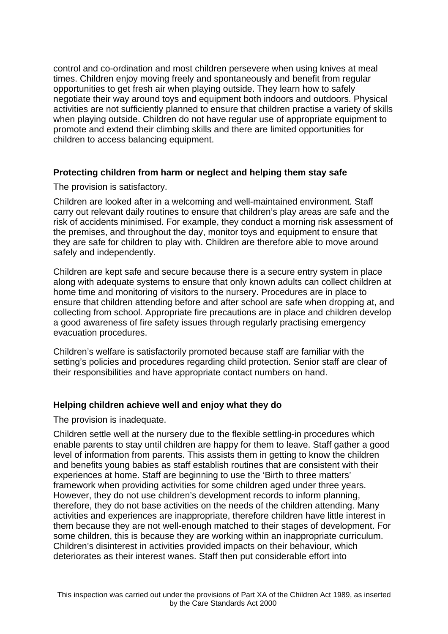control and co-ordination and most children persevere when using knives at meal times. Children enjoy moving freely and spontaneously and benefit from regular opportunities to get fresh air when playing outside. They learn how to safely negotiate their way around toys and equipment both indoors and outdoors. Physical activities are not sufficiently planned to ensure that children practise a variety of skills when playing outside. Children do not have regular use of appropriate equipment to promote and extend their climbing skills and there are limited opportunities for children to access balancing equipment.

# **Protecting children from harm or neglect and helping them stay safe**

The provision is satisfactory.

Children are looked after in a welcoming and well-maintained environment. Staff carry out relevant daily routines to ensure that children's play areas are safe and the risk of accidents minimised. For example, they conduct a morning risk assessment of the premises, and throughout the day, monitor toys and equipment to ensure that they are safe for children to play with. Children are therefore able to move around safely and independently.

Children are kept safe and secure because there is a secure entry system in place along with adequate systems to ensure that only known adults can collect children at home time and monitoring of visitors to the nursery. Procedures are in place to ensure that children attending before and after school are safe when dropping at, and collecting from school. Appropriate fire precautions are in place and children develop a good awareness of fire safety issues through regularly practising emergency evacuation procedures.

Children's welfare is satisfactorily promoted because staff are familiar with the setting's policies and procedures regarding child protection. Senior staff are clear of their responsibilities and have appropriate contact numbers on hand.

# **Helping children achieve well and enjoy what they do**

The provision is inadequate.

Children settle well at the nursery due to the flexible settling-in procedures which enable parents to stay until children are happy for them to leave. Staff gather a good level of information from parents. This assists them in getting to know the children and benefits young babies as staff establish routines that are consistent with their experiences at home. Staff are beginning to use the 'Birth to three matters' framework when providing activities for some children aged under three years. However, they do not use children's development records to inform planning, therefore, they do not base activities on the needs of the children attending. Many activities and experiences are inappropriate, therefore children have little interest in them because they are not well-enough matched to their stages of development. For some children, this is because they are working within an inappropriate curriculum. Children's disinterest in activities provided impacts on their behaviour, which deteriorates as their interest wanes. Staff then put considerable effort into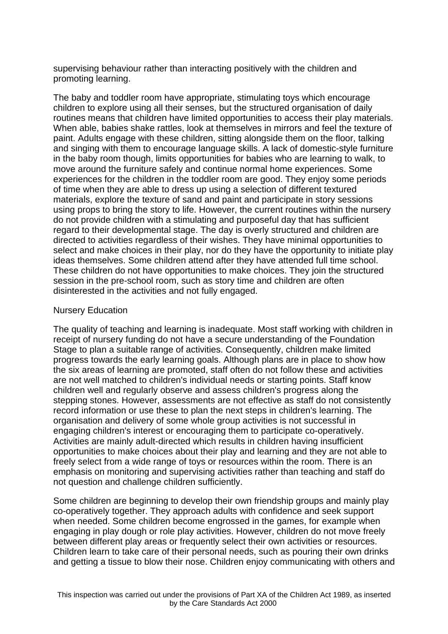supervising behaviour rather than interacting positively with the children and promoting learning.

The baby and toddler room have appropriate, stimulating toys which encourage children to explore using all their senses, but the structured organisation of daily routines means that children have limited opportunities to access their play materials. When able, babies shake rattles, look at themselves in mirrors and feel the texture of paint. Adults engage with these children, sitting alongside them on the floor, talking and singing with them to encourage language skills. A lack of domestic-style furniture in the baby room though, limits opportunities for babies who are learning to walk, to move around the furniture safely and continue normal home experiences. Some experiences for the children in the toddler room are good. They enjoy some periods of time when they are able to dress up using a selection of different textured materials, explore the texture of sand and paint and participate in story sessions using props to bring the story to life. However, the current routines within the nursery do not provide children with a stimulating and purposeful day that has sufficient regard to their developmental stage. The day is overly structured and children are directed to activities regardless of their wishes. They have minimal opportunities to select and make choices in their play, nor do they have the opportunity to initiate play ideas themselves. Some children attend after they have attended full time school. These children do not have opportunities to make choices. They join the structured session in the pre-school room, such as story time and children are often disinterested in the activities and not fully engaged.

#### Nursery Education

The quality of teaching and learning is inadequate. Most staff working with children in receipt of nursery funding do not have a secure understanding of the Foundation Stage to plan a suitable range of activities. Consequently, children make limited progress towards the early learning goals. Although plans are in place to show how the six areas of learning are promoted, staff often do not follow these and activities are not well matched to children's individual needs or starting points. Staff know children well and regularly observe and assess children's progress along the stepping stones. However, assessments are not effective as staff do not consistently record information or use these to plan the next steps in children's learning. The organisation and delivery of some whole group activities is not successful in engaging children's interest or encouraging them to participate co-operatively. Activities are mainly adult-directed which results in children having insufficient opportunities to make choices about their play and learning and they are not able to freely select from a wide range of toys or resources within the room. There is an emphasis on monitoring and supervising activities rather than teaching and staff do not question and challenge children sufficiently.

Some children are beginning to develop their own friendship groups and mainly play co-operatively together. They approach adults with confidence and seek support when needed. Some children become engrossed in the games, for example when engaging in play dough or role play activities. However, children do not move freely between different play areas or frequently select their own activities or resources. Children learn to take care of their personal needs, such as pouring their own drinks and getting a tissue to blow their nose. Children enjoy communicating with others and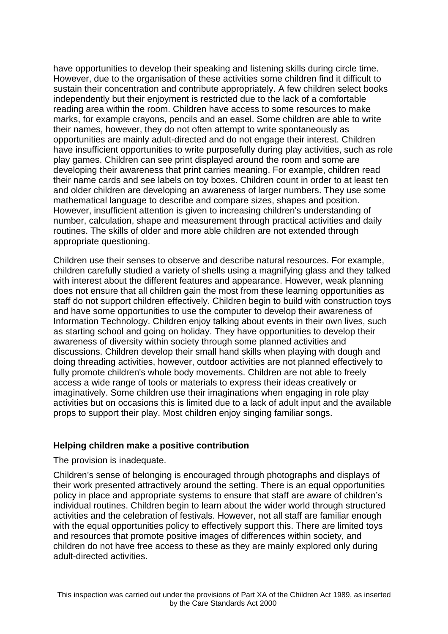have opportunities to develop their speaking and listening skills during circle time. However, due to the organisation of these activities some children find it difficult to sustain their concentration and contribute appropriately. A few children select books independently but their enjoyment is restricted due to the lack of a comfortable reading area within the room. Children have access to some resources to make marks, for example crayons, pencils and an easel. Some children are able to write their names, however, they do not often attempt to write spontaneously as opportunities are mainly adult-directed and do not engage their interest. Children have insufficient opportunities to write purposefully during play activities, such as role play games. Children can see print displayed around the room and some are developing their awareness that print carries meaning. For example, children read their name cards and see labels on toy boxes. Children count in order to at least ten and older children are developing an awareness of larger numbers. They use some mathematical language to describe and compare sizes, shapes and position. However, insufficient attention is given to increasing children's understanding of number, calculation, shape and measurement through practical activities and daily routines. The skills of older and more able children are not extended through appropriate questioning.

Children use their senses to observe and describe natural resources. For example, children carefully studied a variety of shells using a magnifying glass and they talked with interest about the different features and appearance. However, weak planning does not ensure that all children gain the most from these learning opportunities as staff do not support children effectively. Children begin to build with construction toys and have some opportunities to use the computer to develop their awareness of Information Technology. Children enjoy talking about events in their own lives, such as starting school and going on holiday. They have opportunities to develop their awareness of diversity within society through some planned activities and discussions. Children develop their small hand skills when playing with dough and doing threading activities, however, outdoor activities are not planned effectively to fully promote children's whole body movements. Children are not able to freely access a wide range of tools or materials to express their ideas creatively or imaginatively. Some children use their imaginations when engaging in role play activities but on occasions this is limited due to a lack of adult input and the available props to support their play. Most children enjoy singing familiar songs.

# **Helping children make a positive contribution**

The provision is inadequate.

Children's sense of belonging is encouraged through photographs and displays of their work presented attractively around the setting. There is an equal opportunities policy in place and appropriate systems to ensure that staff are aware of children's individual routines. Children begin to learn about the wider world through structured activities and the celebration of festivals. However, not all staff are familiar enough with the equal opportunities policy to effectively support this. There are limited toys and resources that promote positive images of differences within society, and children do not have free access to these as they are mainly explored only during adult-directed activities.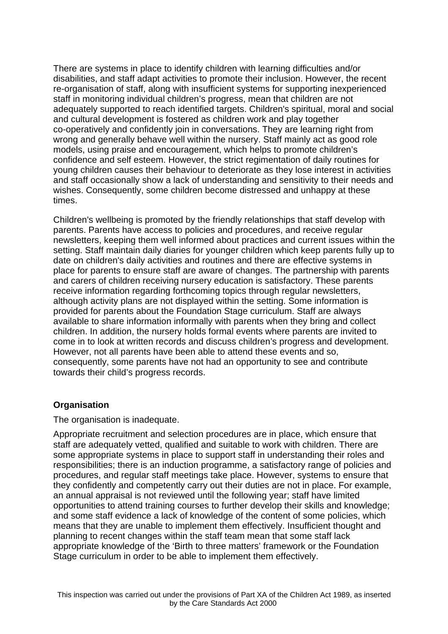There are systems in place to identify children with learning difficulties and/or disabilities, and staff adapt activities to promote their inclusion. However, the recent re-organisation of staff, along with insufficient systems for supporting inexperienced staff in monitoring individual children's progress, mean that children are not adequately supported to reach identified targets. Children's spiritual, moral and social and cultural development is fostered as children work and play together co-operatively and confidently join in conversations. They are learning right from wrong and generally behave well within the nursery. Staff mainly act as good role models, using praise and encouragement, which helps to promote children's confidence and self esteem. However, the strict regimentation of daily routines for young children causes their behaviour to deteriorate as they lose interest in activities and staff occasionally show a lack of understanding and sensitivity to their needs and wishes. Consequently, some children become distressed and unhappy at these times.

Children's wellbeing is promoted by the friendly relationships that staff develop with parents. Parents have access to policies and procedures, and receive regular newsletters, keeping them well informed about practices and current issues within the setting. Staff maintain daily diaries for younger children which keep parents fully up to date on children's daily activities and routines and there are effective systems in place for parents to ensure staff are aware of changes. The partnership with parents and carers of children receiving nursery education is satisfactory. These parents receive information regarding forthcoming topics through regular newsletters, although activity plans are not displayed within the setting. Some information is provided for parents about the Foundation Stage curriculum. Staff are always available to share information informally with parents when they bring and collect children. In addition, the nursery holds formal events where parents are invited to come in to look at written records and discuss children's progress and development. However, not all parents have been able to attend these events and so, consequently, some parents have not had an opportunity to see and contribute towards their child's progress records.

# **Organisation**

The organisation is inadequate.

Appropriate recruitment and selection procedures are in place, which ensure that staff are adequately vetted, qualified and suitable to work with children. There are some appropriate systems in place to support staff in understanding their roles and responsibilities; there is an induction programme, a satisfactory range of policies and procedures, and regular staff meetings take place. However, systems to ensure that they confidently and competently carry out their duties are not in place. For example, an annual appraisal is not reviewed until the following year; staff have limited opportunities to attend training courses to further develop their skills and knowledge; and some staff evidence a lack of knowledge of the content of some policies, which means that they are unable to implement them effectively. Insufficient thought and planning to recent changes within the staff team mean that some staff lack appropriate knowledge of the 'Birth to three matters' framework or the Foundation Stage curriculum in order to be able to implement them effectively.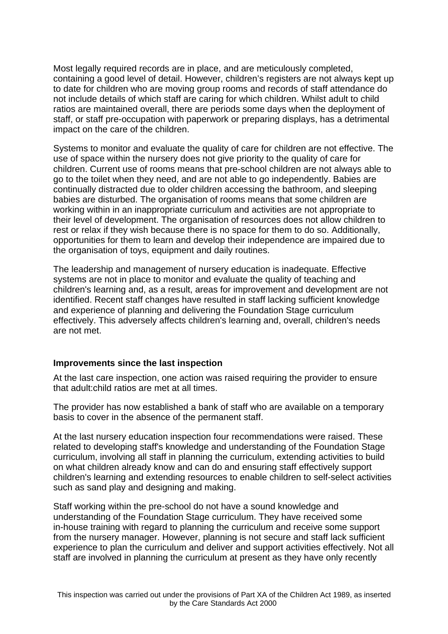Most legally required records are in place, and are meticulously completed, containing a good level of detail. However, children's registers are not always kept up to date for children who are moving group rooms and records of staff attendance do not include details of which staff are caring for which children. Whilst adult to child ratios are maintained overall, there are periods some days when the deployment of staff, or staff pre-occupation with paperwork or preparing displays, has a detrimental impact on the care of the children.

Systems to monitor and evaluate the quality of care for children are not effective. The use of space within the nursery does not give priority to the quality of care for children. Current use of rooms means that pre-school children are not always able to go to the toilet when they need, and are not able to go independently. Babies are continually distracted due to older children accessing the bathroom, and sleeping babies are disturbed. The organisation of rooms means that some children are working within in an inappropriate curriculum and activities are not appropriate to their level of development. The organisation of resources does not allow children to rest or relax if they wish because there is no space for them to do so. Additionally, opportunities for them to learn and develop their independence are impaired due to the organisation of toys, equipment and daily routines.

The leadership and management of nursery education is inadequate. Effective systems are not in place to monitor and evaluate the quality of teaching and children's learning and, as a result, areas for improvement and development are not identified. Recent staff changes have resulted in staff lacking sufficient knowledge and experience of planning and delivering the Foundation Stage curriculum effectively. This adversely affects children's learning and, overall, children's needs are not met.

# **Improvements since the last inspection**

At the last care inspection, one action was raised requiring the provider to ensure that adult:child ratios are met at all times.

The provider has now established a bank of staff who are available on a temporary basis to cover in the absence of the permanent staff.

At the last nursery education inspection four recommendations were raised. These related to developing staff's knowledge and understanding of the Foundation Stage curriculum, involving all staff in planning the curriculum, extending activities to build on what children already know and can do and ensuring staff effectively support children's learning and extending resources to enable children to self-select activities such as sand play and designing and making.

Staff working within the pre-school do not have a sound knowledge and understanding of the Foundation Stage curriculum. They have received some in-house training with regard to planning the curriculum and receive some support from the nursery manager. However, planning is not secure and staff lack sufficient experience to plan the curriculum and deliver and support activities effectively. Not all staff are involved in planning the curriculum at present as they have only recently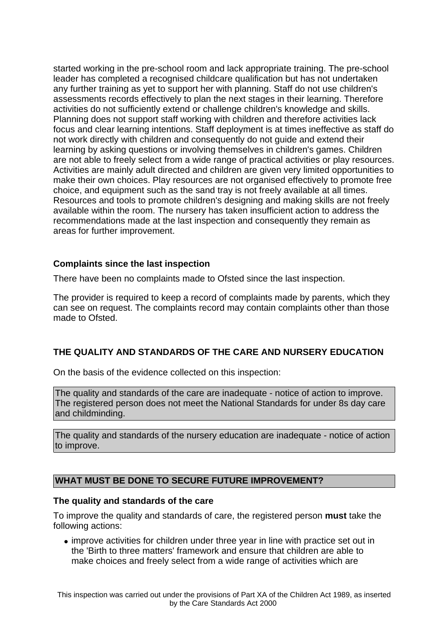started working in the pre-school room and lack appropriate training. The pre-school leader has completed a recognised childcare qualification but has not undertaken any further training as yet to support her with planning. Staff do not use children's assessments records effectively to plan the next stages in their learning. Therefore activities do not sufficiently extend or challenge children's knowledge and skills. Planning does not support staff working with children and therefore activities lack focus and clear learning intentions. Staff deployment is at times ineffective as staff do not work directly with children and consequently do not guide and extend their learning by asking questions or involving themselves in children's games. Children are not able to freely select from a wide range of practical activities or play resources. Activities are mainly adult directed and children are given very limited opportunities to make their own choices. Play resources are not organised effectively to promote free choice, and equipment such as the sand tray is not freely available at all times. Resources and tools to promote children's designing and making skills are not freely available within the room. The nursery has taken insufficient action to address the recommendations made at the last inspection and consequently they remain as areas for further improvement.

# **Complaints since the last inspection**

There have been no complaints made to Ofsted since the last inspection.

The provider is required to keep a record of complaints made by parents, which they can see on request. The complaints record may contain complaints other than those made to Ofsted.

# **THE QUALITY AND STANDARDS OF THE CARE AND NURSERY EDUCATION**

On the basis of the evidence collected on this inspection:

The quality and standards of the care are inadequate - notice of action to improve. The registered person does not meet the National Standards for under 8s day care and childminding.

The quality and standards of the nursery education are inadequate - notice of action to improve.

# **WHAT MUST BE DONE TO SECURE FUTURE IMPROVEMENT?**

#### **The quality and standards of the care**

To improve the quality and standards of care, the registered person **must** take the following actions:

• improve activities for children under three year in line with practice set out in the 'Birth to three matters' framework and ensure that children are able to make choices and freely select from a wide range of activities which are